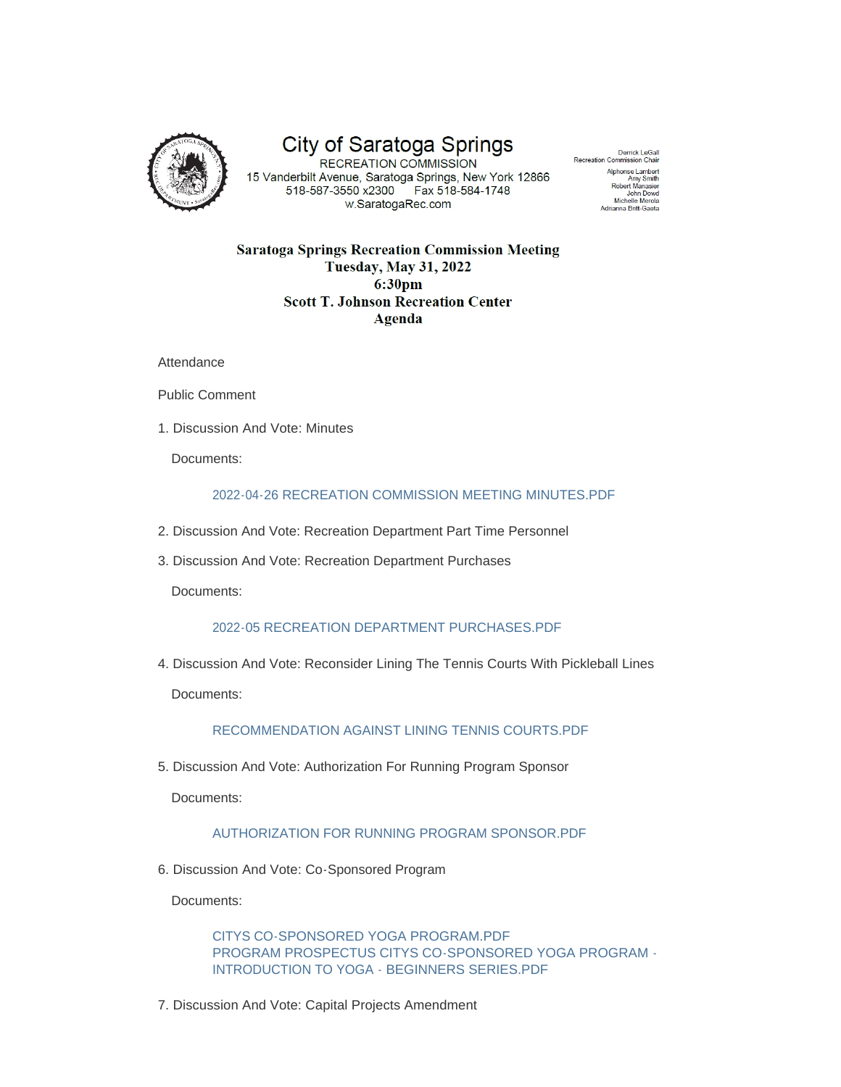

# City of Saratoga Springs

15 Vanderbilt Avenue, Saratoga Springs, New York 12866 518-587-3550 x2300 Fax 518-584-1748 w.SaratogaRec.com

Derrick LeGall Recreation Commission Chai Alphonse Lambert Amy Smith<br>Robert Manasier John Dowd Michelle Merola Adrianna Britt-Gaeta

## **Saratoga Springs Recreation Commission Meeting Tuesday, May 31, 2022** 6:30pm **Scott T. Johnson Recreation Center Agenda**

**Attendance** 

Public Comment

1. Discussion And Vote: Minutes

Documents:

### [2022-04-26 RECREATION COMMISSION MEETING MINUTES.PDF](http://www.saratoga-springs.org/AgendaCenter/ViewFile/Item/5963?fileID=37284)

- 2. Discussion And Vote: Recreation Department Part Time Personnel
- 3. Discussion And Vote: Recreation Department Purchases

Documents:

#### [2022-05 RECREATION DEPARTMENT PURCHASES.PDF](http://www.saratoga-springs.org/AgendaCenter/ViewFile/Item/6049?fileID=37285)

4. Discussion And Vote: Reconsider Lining The Tennis Courts With Pickleball Lines

Documents:

#### [RECOMMENDATION AGAINST LINING TENNIS COURTS.PDF](http://www.saratoga-springs.org/AgendaCenter/ViewFile/Item/6050?fileID=37287)

5. Discussion And Vote: Authorization For Running Program Sponsor

Documents:

# [AUTHORIZATION FOR RUNNING PROGRAM SPONSOR.PDF](http://www.saratoga-springs.org/AgendaCenter/ViewFile/Item/6051?fileID=37252)

6. Discussion And Vote: Co-Sponsored Program

Documents:

[CITYS CO-SPONSORED YOGA PROGRAM.PDF](http://www.saratoga-springs.org/AgendaCenter/ViewFile/Item/6052?fileID=37253) [PROGRAM PROSPECTUS CITYS CO-SPONSORED YOGA PROGRAM -](http://www.saratoga-springs.org/AgendaCenter/ViewFile/Item/6052?fileID=37254) INTRODUCTION TO YOGA - BEGINNERS SERIES.PDF

7. Discussion And Vote: Capital Projects Amendment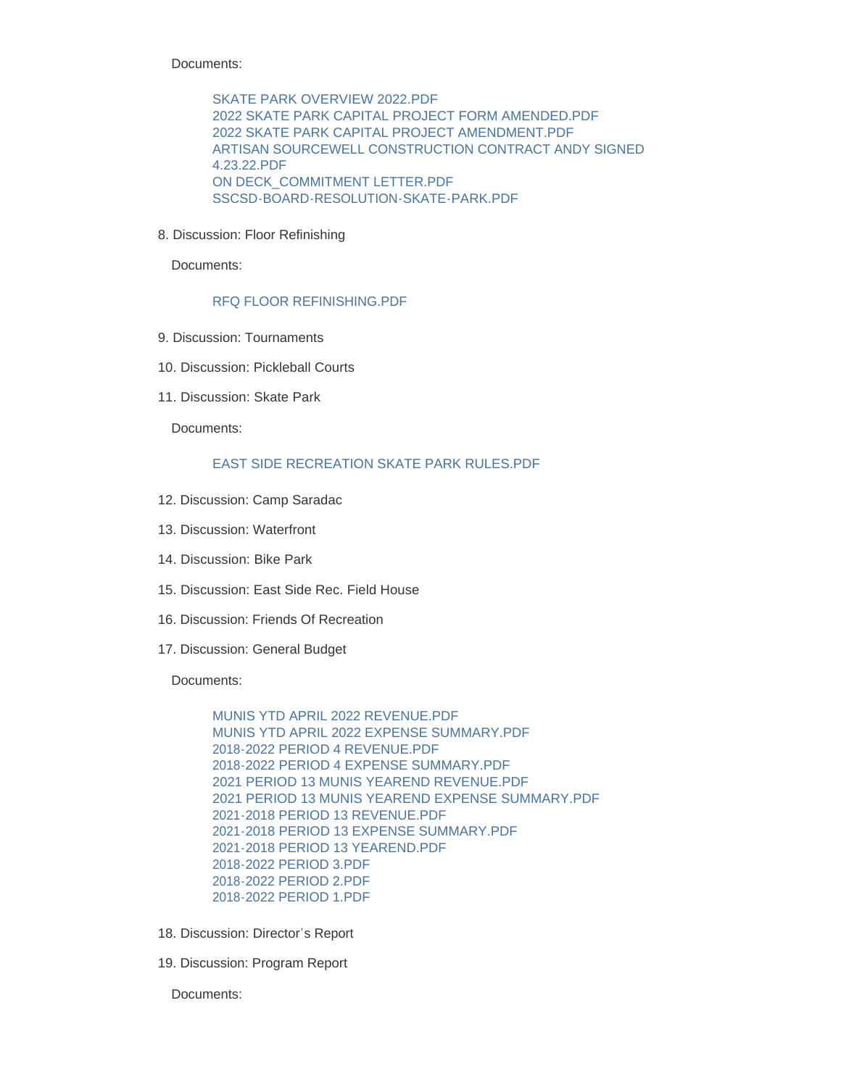Documents:

[SKATE PARK OVERVIEW 2022.PDF](http://www.saratoga-springs.org/AgendaCenter/ViewFile/Item/6053?fileID=37259) [2022 SKATE PARK CAPITAL PROJECT FORM AMENDED.PDF](http://www.saratoga-springs.org/AgendaCenter/ViewFile/Item/6053?fileID=37257) [2022 SKATE PARK CAPITAL PROJECT AMENDMENT.PDF](http://www.saratoga-springs.org/AgendaCenter/ViewFile/Item/6053?fileID=37273) [ARTISAN SOURCEWELL CONSTRUCTION CONTRACT ANDY SIGNED](http://www.saratoga-springs.org/AgendaCenter/ViewFile/Item/6053?fileID=37258)  4.23.22.PDF [ON DECK\\_COMMITMENT LETTER.PDF](http://www.saratoga-springs.org/AgendaCenter/ViewFile/Item/6053?fileID=37255) [SSCSD-BOARD-RESOLUTION-SKATE-PARK.PDF](http://www.saratoga-springs.org/AgendaCenter/ViewFile/Item/6053?fileID=37256)

8. Discussion: Floor Refinishing

Documents:

#### [RFQ FLOOR REFINISHING.PDF](http://www.saratoga-springs.org/AgendaCenter/ViewFile/Item/6062?fileID=37288)

- 9. Discussion: Tournaments
- 10. Discussion: Pickleball Courts
- 11. Discussion: Skate Park

Documents:

#### [EAST SIDE RECREATION SKATE PARK RULES.PDF](http://www.saratoga-springs.org/AgendaCenter/ViewFile/Item/6055?fileID=37260)

- 12. Discussion: Camp Saradac
- 13. Discussion: Waterfront
- 14. Discussion: Bike Park
- 15. Discussion: East Side Rec. Field House
- 16. Discussion: Friends Of Recreation
- 17. Discussion: General Budget

Documents:

[MUNIS YTD APRIL 2022 REVENUE.PDF](http://www.saratoga-springs.org/AgendaCenter/ViewFile/Item/6059?fileID=37261) [MUNIS YTD APRIL 2022 EXPENSE SUMMARY.PDF](http://www.saratoga-springs.org/AgendaCenter/ViewFile/Item/6059?fileID=37262) [2018-2022 PERIOD 4 REVENUE.PDF](http://www.saratoga-springs.org/AgendaCenter/ViewFile/Item/6059?fileID=37264) [2018-2022 PERIOD 4 EXPENSE SUMMARY.PDF](http://www.saratoga-springs.org/AgendaCenter/ViewFile/Item/6059?fileID=37263) [2021 PERIOD 13 MUNIS YEAREND REVENUE.PDF](http://www.saratoga-springs.org/AgendaCenter/ViewFile/Item/6059?fileID=37266) [2021 PERIOD 13 MUNIS YEAREND EXPENSE SUMMARY.PDF](http://www.saratoga-springs.org/AgendaCenter/ViewFile/Item/6059?fileID=37265) [2021-2018 PERIOD 13 REVENUE.PDF](http://www.saratoga-springs.org/AgendaCenter/ViewFile/Item/6059?fileID=37268) [2021-2018 PERIOD 13 EXPENSE SUMMARY.PDF](http://www.saratoga-springs.org/AgendaCenter/ViewFile/Item/6059?fileID=37267) [2021-2018 PERIOD 13 YEAREND.PDF](http://www.saratoga-springs.org/AgendaCenter/ViewFile/Item/6059?fileID=37269) [2018-2022 PERIOD 3.PDF](http://www.saratoga-springs.org/AgendaCenter/ViewFile/Item/6059?fileID=37270) [2018-2022 PERIOD 2.PDF](http://www.saratoga-springs.org/AgendaCenter/ViewFile/Item/6059?fileID=37271) [2018-2022 PERIOD 1.PDF](http://www.saratoga-springs.org/AgendaCenter/ViewFile/Item/6059?fileID=37272)

- 18. Discussion: Director's Report
- 19. Discussion: Program Report

Documents: